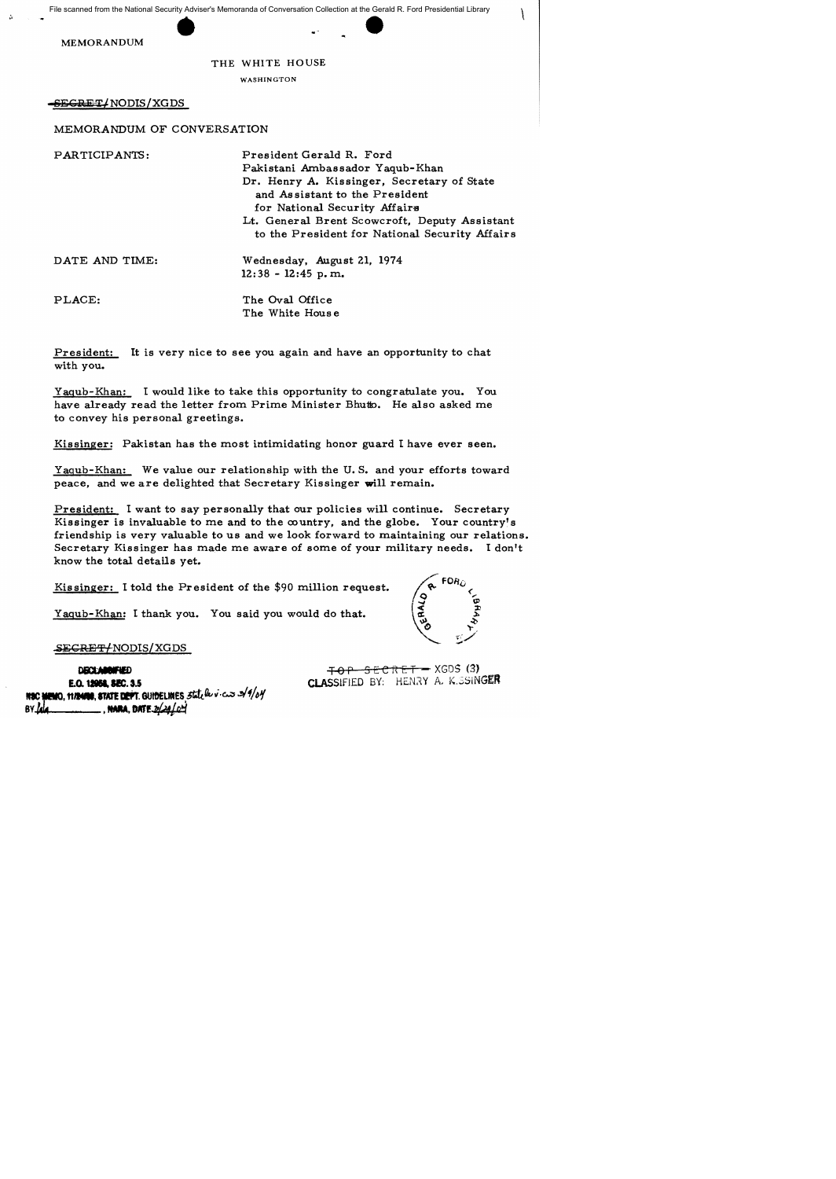THE WHITE HOUSE

WASHINGTON

SEGRET/NODIS/XGDS

MEMORANDUM OF CONVERSATION

| PARTICIPANTS:  | President Gerald R. Ford<br>Pakistani Ambassador Yaqub-Khan<br>Dr. Henry A. Kissinger, Secretary of State<br>and Assistant to the President<br>for National Security Affairs<br>Lt. General Brent Scowcroft, Deputy Assistant<br>to the President for National Security Affairs |
|----------------|---------------------------------------------------------------------------------------------------------------------------------------------------------------------------------------------------------------------------------------------------------------------------------|
| DATE AND TIME: | Wednesday, August 21, 1974<br>$12:38 - 12:45$ p.m.                                                                                                                                                                                                                              |
| PLACE:         | The Oval Office<br>The White House                                                                                                                                                                                                                                              |

President: It is very nice to see you again and have an opportunity to chat with you.

Yagub-Khan: I would like to take this opportunity to congratulate you. You have already read the letter from Prime Minister Bhutto. He also asked me to convey his personal greetings.

Kissinger: Pakistan has the most intimidating honor guard I have ever seen.

Yagub-Khan: We value our relationship with the U. S. and your efforts toward peace, and we are delighted that Secretary Kissinger will remain.

President: I want to say personally that our policies will continue. Secretary Kissinger is invaluable to me and to the  $\infty$  untry, and the globe. Your country's friendship is very valuable to us and we look forward to maintaining our relations. Secretary Kissinger has made me aware of some of your military needs. I don't know the total details yet.

Kis singer: I told the President of the \$90 million request.

Yagub-Khan: I thank you. You said you would do that.



 $\left| \right|$ 

SEGRET/NODIS/XGDS

**DISCUMBONFIED** E.O. 12954, SEC. 3.5 E.O. **12058, SEC. 3.**5<br>NIC **HEMO, 11/2408, STATE DEPT.** GUIDELINES ,3tate<sup>ll</sup>ev<sup>.</sup>c.3 3/9/64 **HSC MEMO, 11/2400, STATE DEFT. GUIDELINES 3**<br>BY <mark>Jua</mark>

 $SERCRE T - XGDS (3)$ CLASSIFIED BY: HENRY A, K. SSINGER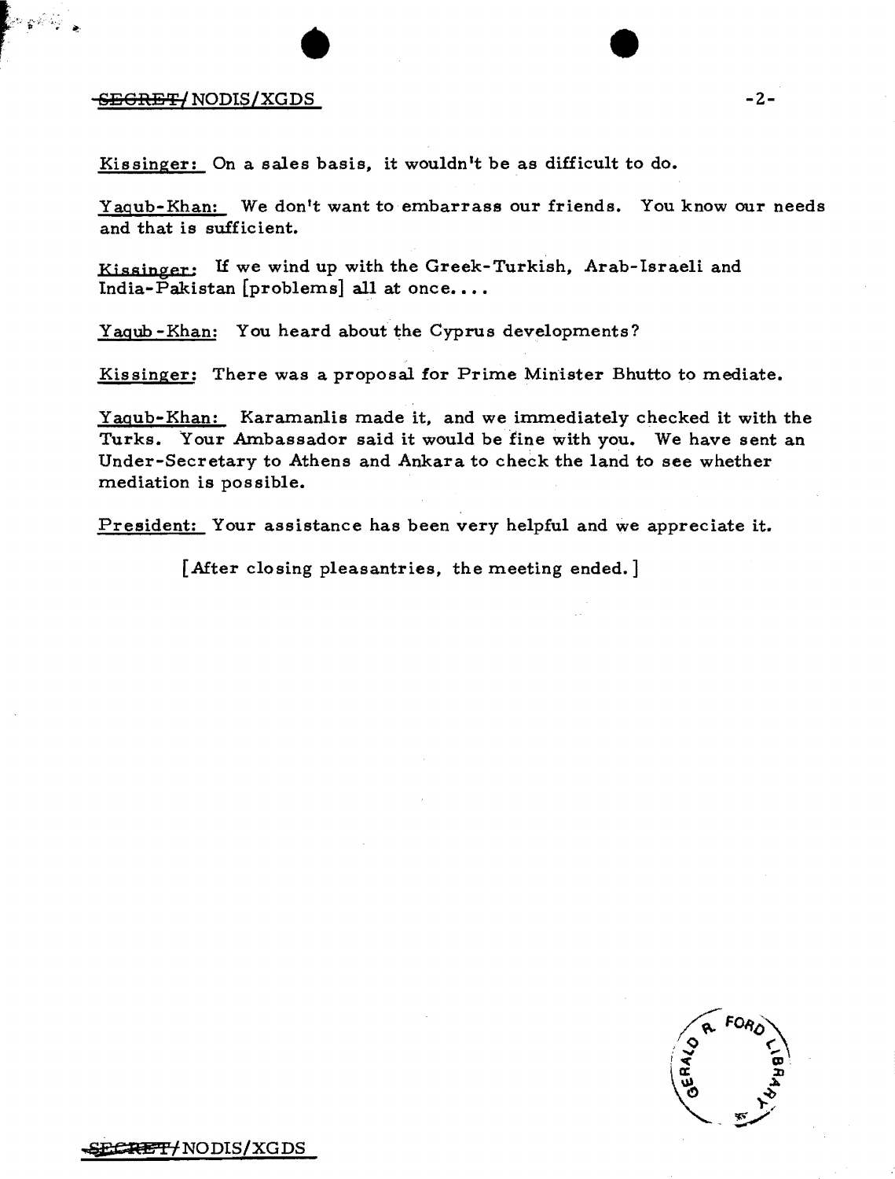## $-$ <del>-SEGRET/</del> NODIS/XGDS SBGRS'r/ *NODIS/XGDS* -2-

Kissinger: On a sales basis, it wouldn't be as difficult to do.

Yagub-Khan: We don't want to embarrass our friends. You know our needs and that is sufficient.

Kjssinger: If we wind up with the Greek-Turkish, Arab-Israeli and India-Pakistan [problems] all at once....

Yagub -Khan: You heard about the Cyprus developments?

Kissinger: There was a proposal for Prime Minister Bhutto to mediate.

Yagub-Khan: Karamanlis made it, and we immediately checked it with the Turks. Your Ambassador said it would be fine with you. We have sent an Under-Secretary to Athens and Ankara to check the land to see whether mediation is possible.

President: Your assistance has been very helpful and we appreciate it.

[After closing pleasantries, the meeting ended.]

~(!'n !NODIS/XGDS